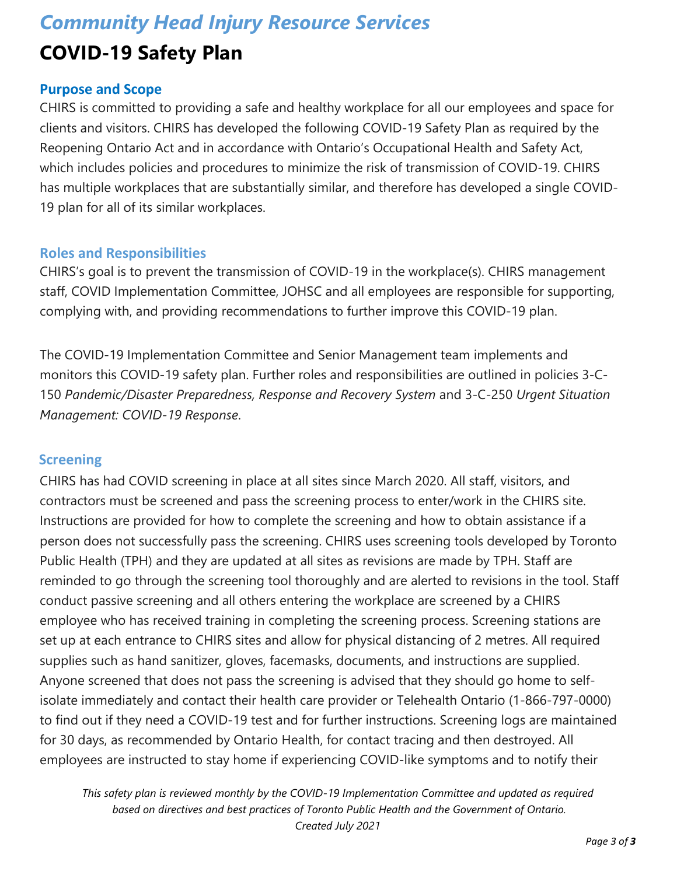# *Community Head Injury Resource Services* **COVID-19 Safety Plan**

#### **Purpose and Scope**

CHIRS is committed to providing a safe and healthy workplace for all our employees and space for clients and visitors. CHIRS has developed the following COVID-19 Safety Plan as required by the Reopening Ontario Act and in accordance with Ontario's Occupational Health and Safety Act, which includes policies and procedures to minimize the risk of transmission of COVID-19. CHIRS has multiple workplaces that are substantially similar, and therefore has developed a single COVID-19 plan for all of its similar workplaces.

#### **Roles and Responsibilities**

CHIRS's goal is to prevent the transmission of COVID-19 in the workplace(s). CHIRS management staff, COVID Implementation Committee, JOHSC and all employees are responsible for supporting, complying with, and providing recommendations to further improve this COVID-19 plan.

The COVID-19 Implementation Committee and Senior Management team implements and monitors this COVID-19 safety plan. Further roles and responsibilities are outlined in policies 3-C-150 *Pandemic/Disaster Preparedness, Response and Recovery System* and 3-C-250 *Urgent Situation Management: COVID-19 Response*.

#### **Screening**

CHIRS has had COVID screening in place at all sites since March 2020. All staff, visitors, and contractors must be screened and pass the screening process to enter/work in the CHIRS site. Instructions are provided for how to complete the screening and how to obtain assistance if a person does not successfully pass the screening. CHIRS uses screening tools developed by Toronto Public Health (TPH) and they are updated at all sites as revisions are made by TPH. Staff are reminded to go through the screening tool thoroughly and are alerted to revisions in the tool. Staff conduct passive screening and all others entering the workplace are screened by a CHIRS employee who has received training in completing the screening process. Screening stations are set up at each entrance to CHIRS sites and allow for physical distancing of 2 metres. All required supplies such as hand sanitizer, gloves, facemasks, documents, and instructions are supplied. Anyone screened that does not pass the screening is advised that they should go home to selfisolate immediately and contact their health care provider or Telehealth Ontario (1-866-797-0000) to find out if they need a COVID-19 test and for further instructions. Screening logs are maintained for 30 days, as recommended by Ontario Health, for contact tracing and then destroyed. All employees are instructed to stay home if experiencing COVID-like symptoms and to notify their

*This safety plan is reviewed monthly by the COVID-19 Implementation Committee and updated as required based on directives and best practices of Toronto Public Health and the Government of Ontario. Created July 2021*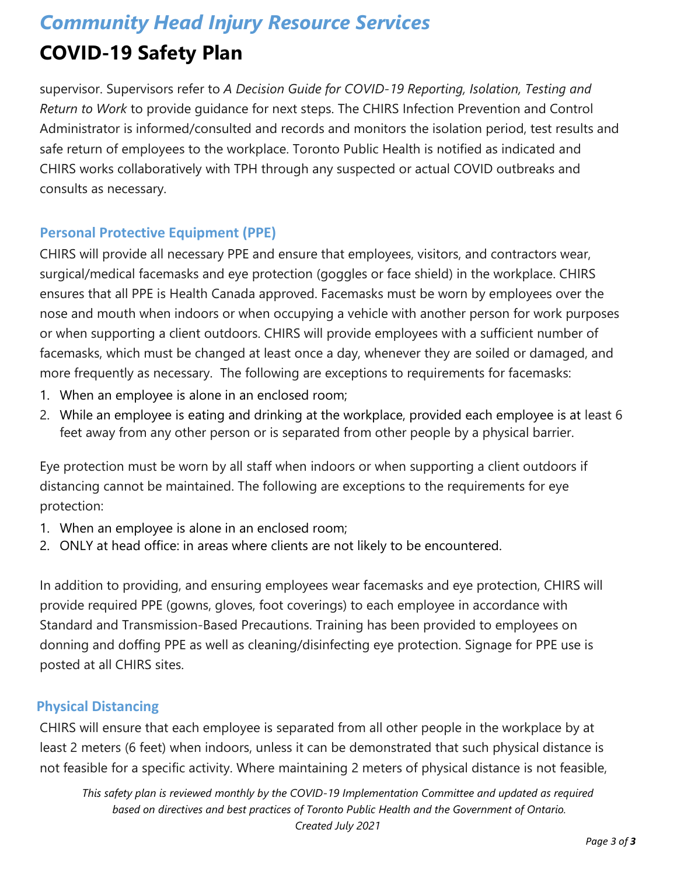# *Community Head Injury Resource Services*

## **COVID-19 Safety Plan**

supervisor. Supervisors refer to *A Decision Guide for COVID-19 Reporting, Isolation, Testing and Return to Work* to provide guidance for next steps. The CHIRS Infection Prevention and Control Administrator is informed/consulted and records and monitors the isolation period, test results and safe return of employees to the workplace. Toronto Public Health is notified as indicated and CHIRS works collaboratively with TPH through any suspected or actual COVID outbreaks and consults as necessary.

### **Personal Protective Equipment (PPE)**

CHIRS will provide all necessary PPE and ensure that employees, visitors, and contractors wear, surgical/medical facemasks and eye protection (goggles or face shield) in the workplace. CHIRS ensures that all PPE is Health Canada approved. Facemasks must be worn by employees over the nose and mouth when indoors or when occupying a vehicle with another person for work purposes or when supporting a client outdoors. CHIRS will provide employees with a sufficient number of facemasks, which must be changed at least once a day, whenever they are soiled or damaged, and more frequently as necessary. The following are exceptions to requirements for facemasks:

- 1. When an employee is alone in an enclosed room;
- 2. While an employee is eating and drinking at the workplace, provided each employee is at least 6 feet away from any other person or is separated from other people by a physical barrier.

Eye protection must be worn by all staff when indoors or when supporting a client outdoors if distancing cannot be maintained. The following are exceptions to the requirements for eye protection:

- 1. When an employee is alone in an enclosed room;
- 2. ONLY at head office: in areas where clients are not likely to be encountered.

In addition to providing, and ensuring employees wear facemasks and eye protection, CHIRS will provide required PPE (gowns, gloves, foot coverings) to each employee in accordance with Standard and Transmission-Based Precautions. Training has been provided to employees on donning and doffing PPE as well as cleaning/disinfecting eye protection. Signage for PPE use is posted at all CHIRS sites.

### **Physical Distancing**

CHIRS will ensure that each employee is separated from all other people in the workplace by at least 2 meters (6 feet) when indoors, unless it can be demonstrated that such physical distance is not feasible for a specific activity. Where maintaining 2 meters of physical distance is not feasible,

*This safety plan is reviewed monthly by the COVID-19 Implementation Committee and updated as required based on directives and best practices of Toronto Public Health and the Government of Ontario. Created July 2021*